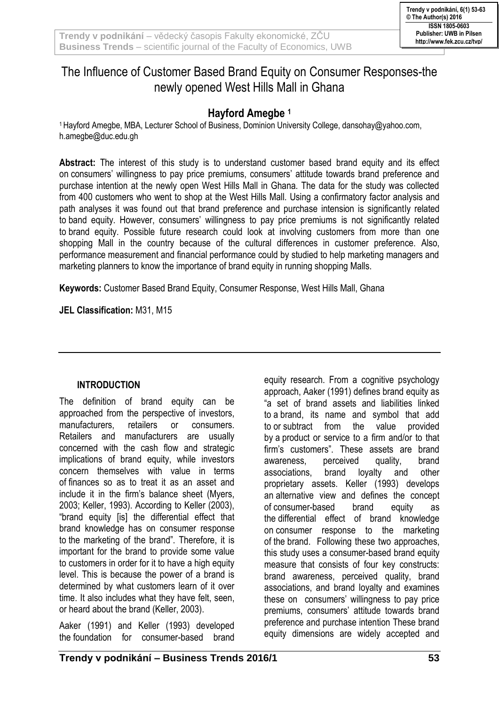# The Influence of Customer Based Brand Equity on Consumer Responses-the newly opened West Hills Mall in Ghana

## **Hayford Amegbe <sup>1</sup>**

<sup>1</sup>Hayford Amegbe, MBA, Lecturer School of Business, Dominion University College, dansohay@yahoo.com, h.amegbe@duc.edu.gh

**Abstract:** The interest of this study is to understand customer based brand equity and its effect on consumers' willingness to pay price premiums, consumers' attitude towards brand preference and purchase intention at the newly open West Hills Mall in Ghana. The data for the study was collected from 400 customers who went to shop at the West Hills Mall. Using a confirmatory factor analysis and path analyses it was found out that brand preference and purchase intension is significantly related to band equity. However, consumers' willingness to pay price premiums is not significantly related to brand equity. Possible future research could look at involving customers from more than one shopping Mall in the country because of the cultural differences in customer preference. Also, performance measurement and financial performance could by studied to help marketing managers and marketing planners to know the importance of brand equity in running shopping Malls.

**Keywords:** Customer Based Brand Equity, Consumer Response, West Hills Mall, Ghana

**JEL Classification:** M31, M15

#### **INTRODUCTION**

The definition of brand equity can be approached from the perspective of investors, manufacturers, retailers or consumers. Retailers and manufacturers are usually concerned with the cash flow and strategic implications of brand equity, while investors concern themselves with value in terms of finances so as to treat it as an asset and include it in the firm's balance sheet (Myers, 2003; Keller, 1993). According to Keller (2003), "brand equity [is] the differential effect that brand knowledge has on consumer response to the marketing of the brand". Therefore, it is important for the brand to provide some value to customers in order for it to have a high equity level. This is because the power of a brand is determined by what customers learn of it over time. It also includes what they have felt, seen, or heard about the brand (Keller, 2003).

Aaker (1991) and Keller (1993) developed the foundation for consumer-based brand equity research. From a cognitive psychology approach, Aaker (1991) defines brand equity as "a set of brand assets and liabilities linked to a brand, its name and symbol that add to or subtract from the value provided by a product or service to a firm and/or to that firm's customers". These assets are brand awareness, perceived quality, brand associations, brand loyalty and other proprietary assets. Keller (1993) develops an alternative view and defines the concept of consumer-based brand equity as the differential effect of brand knowledge on consumer response to the marketing of the brand. Following these two approaches, this study uses a consumer-based brand equity measure that consists of four key constructs: brand awareness, perceived quality, brand associations, and brand loyalty and examines these on consumers' willingness to pay price premiums, consumers' attitude towards brand preference and purchase intention These brand equity dimensions are widely accepted and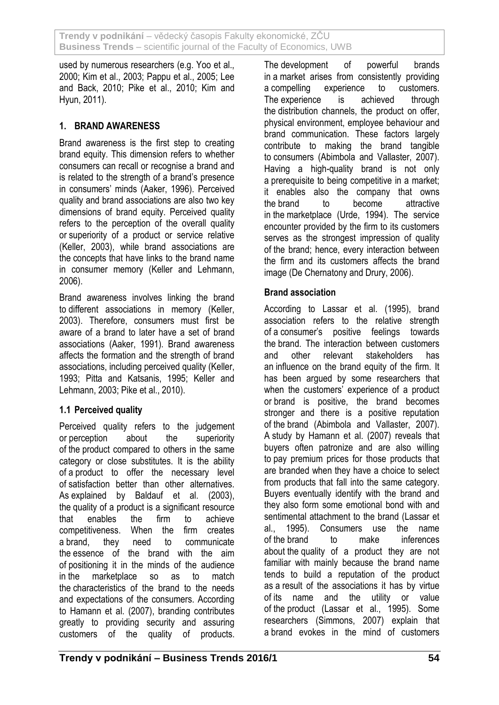used by numerous researchers (e.g. Yoo et al., 2000; Kim et al., 2003; Pappu et al., 2005; Lee and Back, 2010; Pike et al., 2010; Kim and Hyun, 2011).

### **1. BRAND AWARENESS**

Brand awareness is the first step to creating brand equity. This dimension refers to whether consumers can recall or recognise a brand and is related to the strength of a brand's presence in consumers' minds (Aaker, 1996). Perceived quality and brand associations are also two key dimensions of brand equity. Perceived quality refers to the perception of the overall quality or superiority of a product or service relative (Keller, 2003), while brand associations are the concepts that have links to the brand name in consumer memory (Keller and Lehmann, 2006).

Brand awareness involves linking the brand to different associations in memory (Keller, 2003). Therefore, consumers must first be aware of a brand to later have a set of brand associations (Aaker, 1991). Brand awareness affects the formation and the strength of brand associations, including perceived quality (Keller, 1993; Pitta and Katsanis, 1995; Keller and Lehmann, 2003; Pike et al., 2010).

# **1.1 Perceived quality**

Perceived quality refers to the judgement or perception about the superiority of the product compared to others in the same category or close substitutes. It is the ability of a product to offer the necessary level of satisfaction better than other alternatives. As explained by Baldauf et al. (2003), the quality of a product is a significant resource that enables the firm to achieve competitiveness. When the firm creates a brand, they need to communicate the essence of the brand with the aim of positioning it in the minds of the audience in the marketplace so as to match the characteristics of the brand to the needs and expectations of the consumers. According to Hamann et al. (2007), branding contributes greatly to providing security and assuring customers of the quality of products.

The development of powerful brands in a market arises from consistently providing a compelling experience to customers. The experience is achieved through the distribution channels, the product on offer, physical environment, employee behaviour and brand communication. These factors largely contribute to making the brand tangible to consumers (Abimbola and Vallaster, 2007). Having a high-quality brand is not only a prerequisite to being competitive in a market; it enables also the company that owns the brand to become attractive in the marketplace (Urde, 1994). The service encounter provided by the firm to its customers serves as the strongest impression of quality of the brand; hence, every interaction between the firm and its customers affects the brand image (De Chernatony and Drury, 2006).

### **Brand association**

According to Lassar et al. (1995), brand association refers to the relative strength of a consumer's positive feelings towards the brand. The interaction between customers and other relevant stakeholders has an influence on the brand equity of the firm. It has been argued by some researchers that when the customers' experience of a product or brand is positive, the brand becomes stronger and there is a positive reputation of the brand (Abimbola and Vallaster, 2007). A study by Hamann et al. (2007) reveals that buyers often patronize and are also willing to pay premium prices for those products that are branded when they have a choice to select from products that fall into the same category. Buyers eventually identify with the brand and they also form some emotional bond with and sentimental attachment to the brand (Lassar et al., 1995). Consumers use the name of the brand to make inferences about the quality of a product they are not familiar with mainly because the brand name tends to build a reputation of the product as a result of the associations it has by virtue of its name and the utility or value of the product (Lassar et al., 1995). Some researchers (Simmons, 2007) explain that a brand evokes in the mind of customers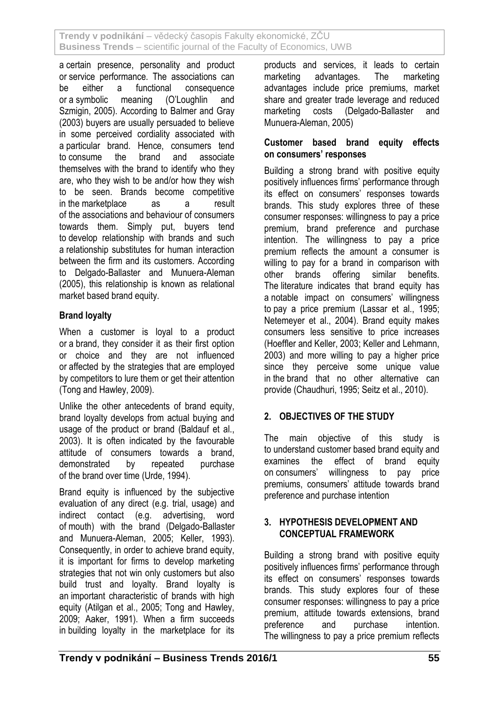a certain presence, personality and product or service performance. The associations can be either a functional consequence or a symbolic meaning (O'Loughlin and Szmigin, 2005). According to Balmer and Gray (2003) buyers are usually persuaded to believe in some perceived cordiality associated with a particular brand. Hence, consumers tend to consume the brand and associate themselves with the brand to identify who they are, who they wish to be and/or how they wish to be seen. Brands become competitive in the marketplace as a result of the associations and behaviour of consumers towards them. Simply put, buyers tend to develop relationship with brands and such a relationship substitutes for human interaction between the firm and its customers. According to Delgado-Ballaster and Munuera-Aleman (2005), this relationship is known as relational market based brand equity.

### **Brand loyalty**

When a customer is loyal to a product or a brand, they consider it as their first option or choice and they are not influenced or affected by the strategies that are employed by competitors to lure them or get their attention (Tong and Hawley, 2009).

Unlike the other antecedents of brand equity, brand loyalty develops from actual buying and usage of the product or brand (Baldauf et al., 2003). It is often indicated by the favourable attitude of consumers towards a brand, demonstrated by repeated purchase of the brand over time (Urde, 1994).

Brand equity is influenced by the subjective evaluation of any direct (e.g. trial, usage) and indirect contact (e.g. advertising, word of mouth) with the brand (Delgado-Ballaster and Munuera-Aleman, 2005; Keller, 1993). Consequently, in order to achieve brand equity, it is important for firms to develop marketing strategies that not win only customers but also build trust and loyalty. Brand loyalty is an important characteristic of brands with high equity (Atilgan et al., 2005; Tong and Hawley, 2009; Aaker, 1991). When a firm succeeds in building loyalty in the marketplace for its products and services, it leads to certain marketing advantages. The marketing advantages include price premiums, market share and greater trade leverage and reduced marketing costs (Delgado-Ballaster and Munuera-Aleman, 2005)

#### **Customer based brand equity effects on consumers' responses**

Building a strong brand with positive equity positively influences firms' performance through its effect on consumers' responses towards brands. This study explores three of these consumer responses: willingness to pay a price premium, brand preference and purchase intention. The willingness to pay a price premium reflects the amount a consumer is willing to pay for a brand in comparison with other brands offering similar benefits. The literature indicates that brand equity has a notable impact on consumers' willingness to pay a price premium (Lassar et al., 1995; Netemeyer et al., 2004). Brand equity makes consumers less sensitive to price increases (Hoeffler and Keller, 2003; Keller and Lehmann, 2003) and more willing to pay a higher price since they perceive some unique value in the brand that no other alternative can provide (Chaudhuri, 1995; Seitz et al., 2010).

### **2. OBJECTIVES OF THE STUDY**

The main objective of this study is to understand customer based brand equity and examines the effect of brand equity on consumers' willingness to pay price premiums, consumers' attitude towards brand preference and purchase intention

#### **3. HYPOTHESIS DEVELOPMENT AND CONCEPTUAL FRAMEWORK**

Building a strong brand with positive equity positively influences firms' performance through its effect on consumers' responses towards brands. This study explores four of these consumer responses: willingness to pay a price premium, attitude towards extensions, brand preference and purchase intention. The willingness to pay a price premium reflects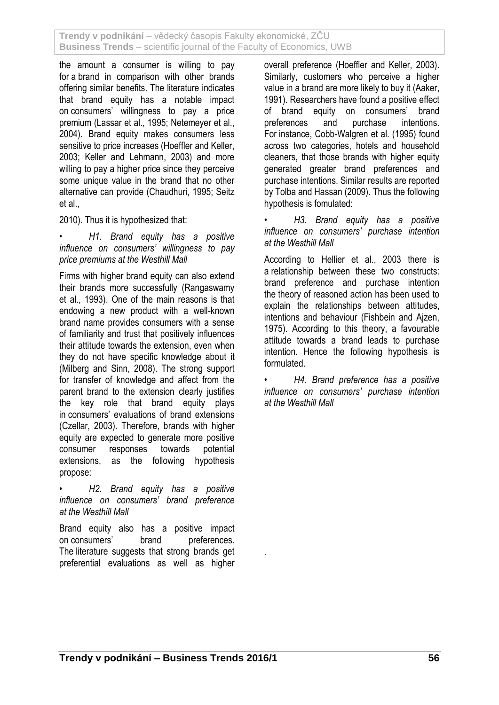the amount a consumer is willing to pay for a brand in comparison with other brands offering similar benefits. The literature indicates that brand equity has a notable impact on consumers' willingness to pay a price premium (Lassar et al., 1995; Netemeyer et al., 2004). Brand equity makes consumers less sensitive to price increases (Hoeffler and Keller, 2003; Keller and Lehmann, 2003) and more willing to pay a higher price since they perceive some unique value in the brand that no other alternative can provide (Chaudhuri, 1995; Seitz et al.,

2010). Thus it is hypothesized that:

• *H1. Brand equity has a positive influence on consumers' willingness to pay price premiums at the Westhill Mall*

Firms with higher brand equity can also extend their brands more successfully (Rangaswamy et al., 1993). One of the main reasons is that endowing a new product with a well-known brand name provides consumers with a sense of familiarity and trust that positively influences their attitude towards the extension, even when they do not have specific knowledge about it (Milberg and Sinn, 2008). The strong support for transfer of knowledge and affect from the parent brand to the extension clearly justifies the key role that brand equity plays in consumers' evaluations of brand extensions (Czellar, 2003). Therefore, brands with higher equity are expected to generate more positive consumer responses towards potential extensions, as the following hypothesis propose:

• *H2. Brand equity has a positive influence on consumers' brand preference at the Westhill Mall*

Brand equity also has a positive impact on consumers' brand preferences. The literature suggests that strong brands get preferential evaluations as well as higher

*.*

overall preference (Hoeffler and Keller, 2003). Similarly, customers who perceive a higher value in a brand are more likely to buy it (Aaker, 1991). Researchers have found a positive effect of brand equity on consumers' brand preferences and purchase intentions. For instance, Cobb-Walgren et al. (1995) found across two categories, hotels and household cleaners, that those brands with higher equity generated greater brand preferences and purchase intentions. Similar results are reported by Tolba and Hassan (2009). Thus the following hypothesis is fomulated:

• *H3. Brand equity has a positive influence on consumers' purchase intention at the Westhill Mall*

According to Hellier et al., 2003 there is a relationship between these two constructs: brand preference and purchase intention the theory of reasoned action has been used to explain the relationships between attitudes, intentions and behaviour (Fishbein and Ajzen, 1975). According to this theory, a favourable attitude towards a brand leads to purchase intention. Hence the following hypothesis is formulated.

• *H4. Brand preference has a positive influence on consumers' purchase intention at the Westhill Mall*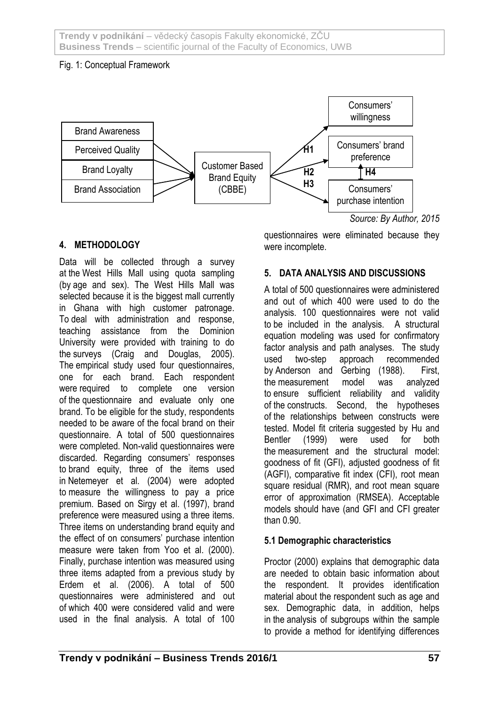### Fig. 1: Conceptual Framework



### **4. METHODOLOGY**

Data will be collected through a survey at the West Hills Mall using quota sampling (by age and sex). The West Hills Mall was selected because it is the biggest mall currently in Ghana with high customer patronage. To deal with administration and response, teaching assistance from the Dominion University were provided with training to do the surveys (Craig and Douglas, 2005). The empirical study used four questionnaires, one for each brand. Each respondent were required to complete one version of the questionnaire and evaluate only one brand. To be eligible for the study, respondents needed to be aware of the focal brand on their questionnaire. A total of 500 questionnaires were completed. Non-valid questionnaires were discarded. Regarding consumers' responses to brand equity, three of the items used in Netemeyer et al. (2004) were adopted to measure the willingness to pay a price premium. Based on Sirgy et al. (1997), brand preference were measured using a three items. Three items on understanding brand equity and the effect of on consumers' purchase intention measure were taken from Yoo et al. (2000). Finally, purchase intention was measured using three items adapted from a previous study by Erdem et al. (2006). A total of 500 questionnaires were administered and out of which 400 were considered valid and were used in the final analysis. A total of 100

questionnaires were eliminated because they were incomplete.

### **5. DATA ANALYSIS AND DISCUSSIONS**

A total of 500 questionnaires were administered and out of which 400 were used to do the analysis. 100 questionnaires were not valid to be included in the analysis. A structural equation modeling was used for confirmatory factor analysis and path analyses. The study used two-step approach recommended by Anderson and Gerbing (1988). First, the measurement model was analyzed to ensure sufficient reliability and validity of the constructs. Second, the hypotheses of the relationships between constructs were tested. Model fit criteria suggested by Hu and Bentler (1999) were used for both the measurement and the structural model: goodness of fit (GFI), adjusted goodness of fit (AGFI), comparative fit index (CFI), root mean square residual (RMR), and root mean square error of approximation (RMSEA). Acceptable models should have (and GFI and CFI greater than 0.90.

### **5.1 Demographic characteristics**

Proctor (2000) explains that demographic data are needed to obtain basic information about the respondent. It provides identification material about the respondent such as age and sex. Demographic data, in addition, helps in the analysis of subgroups within the sample to provide a method for identifying differences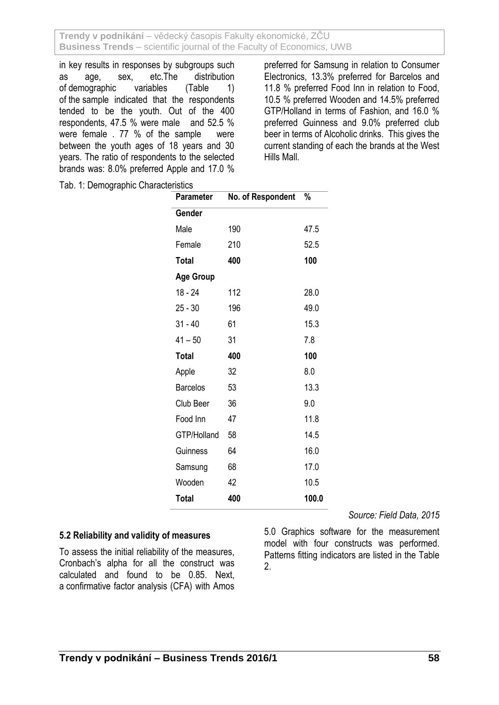in key results in responses by subgroups such as age, sex, etc.The distribution of demographic variables (Table 1) of the sample indicated that the respondents tended to be the youth. Out of the 400 respondents, 47.5 % were male and 52.5 % were female . 77 % of the sample were between the youth ages of 18 years and 30 years. The ratio of respondents to the selected brands was: 8.0% preferred Apple and 17.0 % preferred for Samsung in relation to Consumer Electronics, 13.3% preferred for Barcelos and 11.8 % preferred Food Inn in relation to Food, 10.5 % preferred Wooden and 14.5% preferred GTP/Holland in terms of Fashion, and 16.0 % preferred Guinness and 9.0% preferred club beer in terms of Alcoholic drinks. This gives the current standing of each the brands at the West Hills Mall.

Tab. 1: Demographic Characteristics

| <b>Parameter</b> | No. of Respondent | %     |
|------------------|-------------------|-------|
| Gender           |                   |       |
| Male             | 190               | 47.5  |
| Female           | 210               | 52.5  |
| <b>Total</b>     | 400               | 100   |
| <b>Age Group</b> |                   |       |
| 18 - 24          | 112               | 28.0  |
| $25 - 30$        | 196               | 49.0  |
| $31 - 40$        | 61                | 15.3  |
| $41 - 50$        | 31                | 7.8   |
| <b>Total</b>     | 400               | 100   |
| Apple            | 32                | 8.0   |
| <b>Barcelos</b>  | 53                | 13.3  |
| Club Beer        | 36                | 9.0   |
| Food Inn         | 47                | 11.8  |
| GTP/Holland      | 58                | 14.5  |
| Guinness         | 64                | 16.0  |
| Samsung          | 68                | 17.0  |
| Wooden           | 42                | 10.5  |
| <b>Total</b>     | 400               | 100.0 |

#### **5.2 Reliability and validity of measures**

To assess the initial reliability of the measures, Cronbach's alpha for all the construct was calculated and found to be 0.85. Next, a confirmative factor analysis (CFA) with Amos *Source: Field Data, 2015*

5.0 Graphics software for the measurement model with four constructs was performed. Patterns fitting indicators are listed in the Table 2.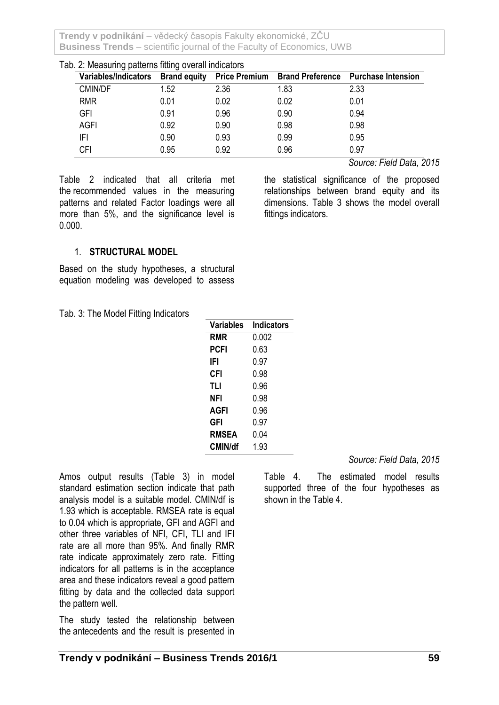| Tab. 2: Measuring patterns fitting overall indicators |                                   |      |      |      |                                                   |  |  |  |
|-------------------------------------------------------|-----------------------------------|------|------|------|---------------------------------------------------|--|--|--|
|                                                       | Variables/Indicators Brand equity |      |      |      | Price Premium Brand Preference Purchase Intension |  |  |  |
|                                                       | <b>CMIN/DF</b>                    | 1.52 | 2.36 | 1.83 | 2.33                                              |  |  |  |
|                                                       | <b>RMR</b>                        | 0.01 | 0.02 | 0.02 | 0.01                                              |  |  |  |
|                                                       | GFI                               | 0.91 | 0.96 | 0.90 | 0.94                                              |  |  |  |
|                                                       | <b>AGFI</b>                       | 0.92 | 0.90 | 0.98 | 0.98                                              |  |  |  |
|                                                       | IFI                               | 0.90 | 0.93 | 0.99 | 0.95                                              |  |  |  |
|                                                       | <b>CFI</b>                        | 0.95 | 0.92 | 0.96 | 0.97                                              |  |  |  |

Table 2 indicated that all criteria met the recommended values in the measuring patterns and related Factor loadings were all more than 5%, and the significance level is 0.000.

*Source: Field Data, 2015*

the statistical significance of the proposed relationships between brand equity and its dimensions. Table 3 shows the model overall fittings indicators.

#### 1. **STRUCTURAL MODEL**

Based on the study hypotheses, a structural equation modeling was developed to assess

Tab. 3: The Model Fitting Indicators

| Variables      | <b>Indicators</b> |
|----------------|-------------------|
| <b>RMR</b>     | 0.002             |
| PCFI           | 0.63              |
| IFI            | 0.97              |
| CFI            | 0.98              |
| <b>TLI</b>     | 0.96              |
| NFI            | በ 98              |
| AGFI           | 0.96              |
| GFI            | 0.97              |
| <b>RMSEA</b>   | 0.04              |
| <b>CMIN/df</b> | 1.93              |

Amos output results (Table 3) in model standard estimation section indicate that path analysis model is a suitable model. CMIN/df is 1.93 which is acceptable. RMSEA rate is equal to 0.04 which is appropriate, GFI and AGFI and other three variables of NFI, CFI, TLI and IFI rate are all more than 95%. And finally RMR rate indicate approximately zero rate. Fitting indicators for all patterns is in the acceptance area and these indicators reveal a good pattern fitting by data and the collected data support the pattern well.

The study tested the relationship between the antecedents and the result is presented in *Source: Field Data, 2015*

Table 4. The estimated model results supported three of the four hypotheses as shown in the Table 4.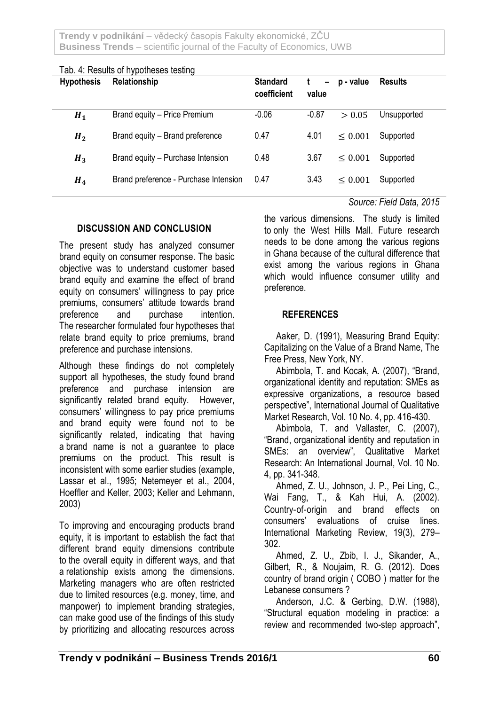| <b>Hypothesis</b> | <b>100. 1.11000110 01 111001110000 10011119</b><br>Relationship | <b>Standard</b><br>coefficient | $\qquad \qquad -$<br>value | p - value    | <b>Results</b> |
|-------------------|-----------------------------------------------------------------|--------------------------------|----------------------------|--------------|----------------|
| $H_1$             | Brand equity - Price Premium                                    | $-0.06$                        | $-0.87$                    | > 0.05       | Unsupported    |
| H <sub>2</sub>    | Brand equity - Brand preference                                 | 0.47                           | 4.01                       | $\leq 0.001$ | Supported      |
| $H_3$             | Brand equity - Purchase Intension                               | 0.48                           | 3.67                       | < 0.001      | Supported      |
| $H_4$             | Brand preference - Purchase Intension                           | 0.47                           | 3.43                       | $\leq 0.001$ | Supported      |

### Tab. 4: Results of hypotheses testing

#### **DISCUSSION AND CONCLUSION**

The present study has analyzed consumer brand equity on consumer response. The basic objective was to understand customer based brand equity and examine the effect of brand equity on consumers' willingness to pay price premiums, consumers' attitude towards brand preference and purchase intention. The researcher formulated four hypotheses that relate brand equity to price premiums, brand preference and purchase intensions.

Although these findings do not completely support all hypotheses, the study found brand preference and purchase intension are significantly related brand equity. However, consumers' willingness to pay price premiums and brand equity were found not to be significantly related, indicating that having a brand name is not a guarantee to place premiums on the product. This result is inconsistent with some earlier studies (example, Lassar et al., 1995; Netemeyer et al., 2004, Hoeffler and Keller, 2003; Keller and Lehmann, 2003)

To improving and encouraging products brand equity, it is important to establish the fact that different brand equity dimensions contribute to the overall equity in different ways, and that a relationship exists among the dimensions. Marketing managers who are often restricted due to limited resources (e.g. money, time, and manpower) to implement branding strategies, can make good use of the findings of this study by prioritizing and allocating resources across

#### *Source: Field Data, 2015*

the various dimensions. The study is limited to only the West Hills Mall. Future research needs to be done among the various regions in Ghana because of the cultural difference that exist among the various regions in Ghana which would influence consumer utility and preference.

#### **REFERENCES**

Aaker, D. (1991), Measuring Brand Equity: Capitalizing on the Value of a Brand Name, The Free Press, New York, NY.

Abimbola, T. and Kocak, A. (2007), "Brand, organizational identity and reputation: SMEs as expressive organizations, a resource based perspective", International Journal of Qualitative Market Research, Vol. 10 No. 4, pp. 416-430.

Abimbola, T. and Vallaster, C. (2007), "Brand, organizational identity and reputation in SMEs: an overview", Qualitative Market Research: An International Journal, Vol. 10 No. 4, pp. 341-348.

Ahmed, Z. U., Johnson, J. P., Pei Ling, C., Wai Fang, T., & Kah Hui, A. (2002). Country‐of‐origin and brand effects on consumers' evaluations of cruise lines. International Marketing Review, 19(3), 279– 302.

Ahmed, Z. U., Zbib, I. J., Sikander, A., Gilbert, R., & Noujaim, R. G. (2012). Does country of brand origin ( COBO ) matter for the Lebanese consumers ?

Anderson, J.C. & Gerbing, D.W. (1988), "Structural equation modeling in practice: a review and recommended two-step approach",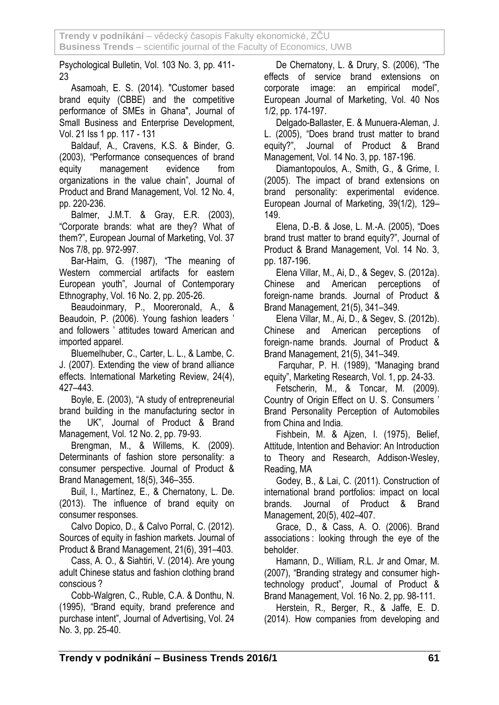Psychological Bulletin, Vol. 103 No. 3, pp. 411- 23

Asamoah, E. S. (2014). "Customer based brand equity (CBBE) and the competitive performance of SMEs in Ghana", Journal of Small Business and Enterprise Development, Vol. 21 Iss 1 pp. 117 - 131

Baldauf, A., Cravens, K.S. & Binder, G. (2003), "Performance consequences of brand equity management evidence from organizations in the value chain", Journal of Product and Brand Management, Vol. 12 No. 4, pp. 220-236.

Balmer, J.M.T. & Gray, E.R. (2003), "Corporate brands: what are they? What of them?", European Journal of Marketing, Vol. 37 Nos 7/8, pp. 972-997.

Bar-Haim, G. (1987), "The meaning of Western commercial artifacts for eastern European youth", Journal of Contemporary Ethnography, Vol. 16 No. 2, pp. 205-26.

Beaudoinmary, P., Mooreronald, A., & Beaudoin, P. (2006). Young fashion leaders ' and followers ' attitudes toward American and imported apparel.

Bluemelhuber, C., Carter, L. L., & Lambe, C. J. (2007). Extending the view of brand alliance effects. International Marketing Review, 24(4), 427–443.

Boyle, E. (2003), "A study of entrepreneurial brand building in the manufacturing sector in the UK", Journal of Product & Brand Management, Vol. 12 No. 2, pp. 79-93.

Brengman, M., & Willems, K. (2009). Determinants of fashion store personality: a consumer perspective. Journal of Product & Brand Management, 18(5), 346–355.

Buil, I., Martínez, E., & Chernatony, L. De. (2013). The influence of brand equity on consumer responses.

Calvo Dopico, D., & Calvo Porral, C. (2012). Sources of equity in fashion markets. Journal of Product & Brand Management, 21(6), 391–403.

Cass, A. O., & Siahtiri, V. (2014). Are young adult Chinese status and fashion clothing brand conscious ?

Cobb-Walgren, C., Ruble, C.A. & Donthu, N. (1995), "Brand equity, brand preference and purchase intent", Journal of Advertising, Vol. 24 No. 3, pp. 25-40.

De Chernatony, L. & Drury, S. (2006), "The effects of service brand extensions on corporate image: an empirical model", European Journal of Marketing, Vol. 40 Nos 1/2, pp. 174-197.

Delgado-Ballaster, E. & Munuera-Aleman, J. L. (2005), "Does brand trust matter to brand equity?", Journal of Product & Brand Management, Vol. 14 No. 3, pp. 187-196.

Diamantopoulos, A., Smith, G., & Grime, I. (2005). The impact of brand extensions on brand personality: experimental evidence. European Journal of Marketing, 39(1/2), 129– 149.

Elena, D.-B. & Jose, L. M.-A. (2005), "Does brand trust matter to brand equity?", Journal of Product & Brand Management, Vol. 14 No. 3, pp. 187-196.

Elena Villar, M., Ai, D., & Segev, S. (2012a). Chinese and American perceptions of foreign‐name brands. Journal of Product & Brand Management, 21(5), 341–349.

Elena Villar, M., Ai, D., & Segev, S. (2012b). Chinese and American perceptions of foreign‐name brands. Journal of Product & Brand Management, 21(5), 341–349.

Farquhar, P. H. (1989), "Managing brand equity", Marketing Research, Vol. 1, pp. 24-33.

Fetscherin, M., & Toncar, M. (2009). Country of Origin Effect on U. S. Consumers ' Brand Personality Perception of Automobiles from China and India.

Fishbein, M. & Ajzen, I. (1975), Belief, Attitude, Intention and Behavior: An Introduction to Theory and Research, Addison-Wesley, Reading, MA

Godey, B., & Lai, C. (2011). Construction of international brand portfolios: impact on local brands. Journal of Product & Brand Management, 20(5), 402–407.

Grace, D., & Cass, A. O. (2006). Brand associations : looking through the eye of the beholder.

Hamann, D., William, R.L. Jr and Omar, M. (2007), "Branding strategy and consumer hightechnology product", Journal of Product & Brand Management, Vol. 16 No. 2, pp. 98-111.

Herstein, R., Berger, R., & Jaffe, E. D. (2014). How companies from developing and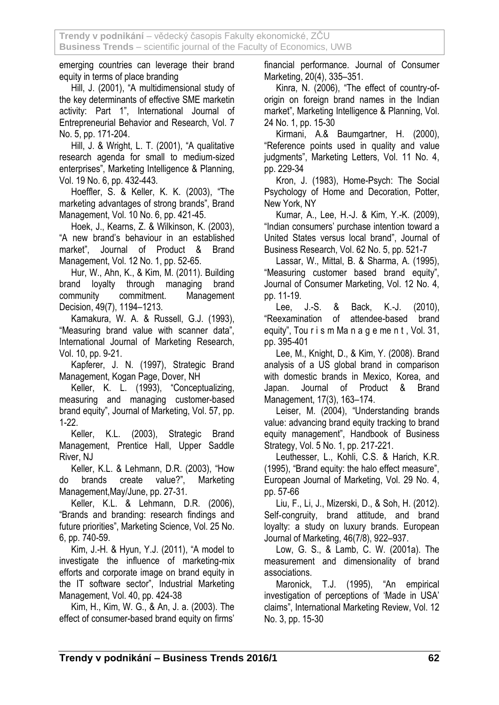emerging countries can leverage their brand equity in terms of place branding

Hill, J. (2001), "A multidimensional study of the key determinants of effective SME marketin activity: Part 1", International Journal of Entrepreneurial Behavior and Research, Vol. 7 No. 5, pp. 171-204.

Hill, J. & Wright, L. T. (2001), "A qualitative research agenda for small to medium-sized enterprises", Marketing Intelligence & Planning, Vol. 19 No. 6, pp. 432-443.

Hoeffler, S. & Keller, K. K. (2003), "The marketing advantages of strong brands", Brand Management, Vol. 10 No. 6, pp. 421-45.

Hoek, J., Kearns, Z. & Wilkinson, K. (2003), "A new brand's behaviour in an established market", Journal of Product & Brand Management, Vol. 12 No. 1, pp. 52-65.

Hur, W., Ahn, K., & Kim, M. (2011). Building brand loyalty through managing brand community commitment. Management Decision, 49(7), 1194–1213.

Kamakura, W. A. & Russell, G.J. (1993), "Measuring brand value with scanner data", International Journal of Marketing Research, Vol. 10, pp. 9-21.

Kapferer, J. N. (1997), Strategic Brand Management, Kogan Page, Dover, NH

Keller, K. L. (1993), "Conceptualizing, measuring and managing customer-based brand equity", Journal of Marketing, Vol. 57, pp. 1-22.

Keller, K.L. (2003), Strategic Brand Management, Prentice Hall, Upper Saddle River, NJ

Keller, K.L. & Lehmann, D.R. (2003), "How do brands create value?", Marketing Management,May/June, pp. 27-31.

Keller, K.L. & Lehmann, D.R. (2006), "Brands and branding: research findings and future priorities", Marketing Science, Vol. 25 No. 6, pp. 740-59.

Kim, J.-H. & Hyun, Y.J. (2011), "A model to investigate the influence of marketing-mix efforts and corporate image on brand equity in the IT software sector", Industrial Marketing Management, Vol. 40, pp. 424-38

Kim, H., Kim, W. G., & An, J. a. (2003). The effect of consumer-based brand equity on firms' financial performance. Journal of Consumer Marketing, 20(4), 335–351.

Kinra, N. (2006), "The effect of country-oforigin on foreign brand names in the Indian market", Marketing Intelligence & Planning, Vol. 24 No. 1, pp. 15-30

Kirmani, A.& Baumgartner, H. (2000), "Reference points used in quality and value judgments", Marketing Letters, Vol. 11 No. 4, pp. 229-34

Kron, J. (1983), Home-Psych: The Social Psychology of Home and Decoration, Potter, New York, NY

Kumar, A., Lee, H.-J. & Kim, Y.-K. (2009), "Indian consumers' purchase intention toward a United States versus local brand", Journal of Business Research, Vol. 62 No. 5, pp. 521-7

Lassar, W., Mittal, B. & Sharma, A. (1995), "Measuring customer based brand equity", Journal of Consumer Marketing, Vol. 12 No. 4, pp. 11-19.

Lee, J.-S. & Back, K.-J. (2010), "Reexamination of attendee-based brand equity", Tou r i s m Ma n a g e me n t , Vol. 31, pp. 395-401

Lee, M., Knight, D., & Kim, Y. (2008). Brand analysis of a US global brand in comparison with domestic brands in Mexico, Korea, and Japan. Journal of Product & Brand Management, 17(3), 163–174.

Leiser, M. (2004), "Understanding brands value: advancing brand equity tracking to brand equity management", Handbook of Business Strategy, Vol. 5 No. 1, pp. 217-221.

Leuthesser, L., Kohli, C.S. & Harich, K.R. (1995), "Brand equity: the halo effect measure", European Journal of Marketing, Vol. 29 No. 4, pp. 57-66

Liu, F., Li, J., Mizerski, D., & Soh, H. (2012). Self-congruity, brand attitude, and brand loyalty: a study on luxury brands. European Journal of Marketing, 46(7/8), 922–937.

Low, G. S., & Lamb, C. W. (2001a). The measurement and dimensionality of brand associations.

Maronick, T.J. (1995), "An empirical investigation of perceptions of 'Made in USA' claims", International Marketing Review, Vol. 12 No. 3, pp. 15-30